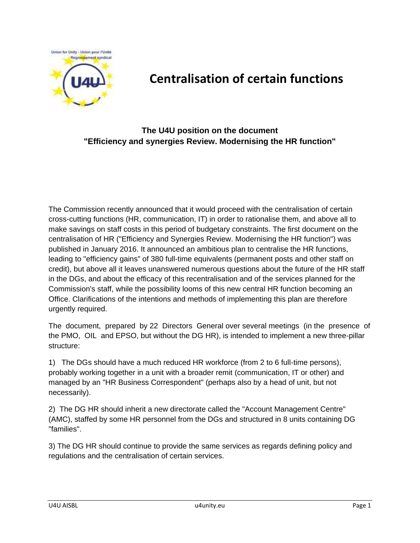

## **Centralisation of certain functions**

## **The U4U position on the document "Efficiency and synergies Review. Modernising the HR function"**

The Commission recently announced that it would proceed with the centralisation of certain cross-cutting functions (HR, communication, IT) in order to rationalise them, and above all to make savings on staff costs in this period of budgetary constraints. The first document on the centralisation of HR ("Efficiency and Synergies Review. Modernising the HR function") was published in January 2016. It announced an ambitious plan to centralise the HR functions, leading to "efficiency gains" of 380 full-time equivalents (permanent posts and other staff on credit), but above all it leaves unanswered numerous questions about the future of the HR staff in the DGs, and about the efficacy of this recentralisation and of the services planned for the Commission's staff, while the possibility looms of this new central HR function becoming an Office. Clarifications of the intentions and methods of implementing this plan are therefore urgently required.

The document, prepared by 22 Directors General over several meetings (in the presence of the PMO, OIL and EPSO, but without the DG HR), is intended to implement a new three-pillar structure:

1) The DGs should have a much reduced HR workforce (from 2 to 6 full-time persons), probably working together in a unit with a broader remit (communication, IT or other) and managed by an "HR Business Correspondent" (perhaps also by a head of unit, but not necessarily).

2) The DG HR should inherit a new directorate called the "Account Management Centre" (AMC), staffed by some HR personnel from the DGs and structured in 8 units containing DG "families".

3) The DG HR should continue to provide the same services as regards defining policy and regulations and the centralisation of certain services.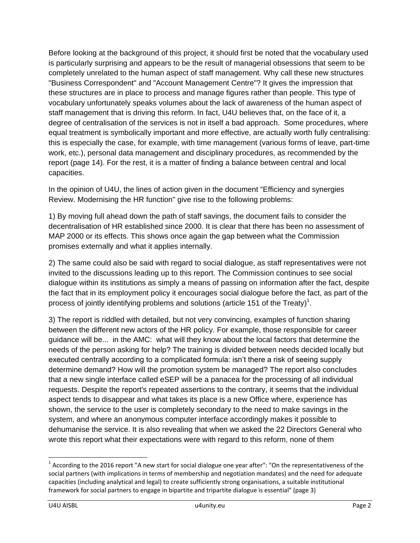Before looking at the background of this project, it should first be noted that the vocabulary used is particularly surprising and appears to be the result of managerial obsessions that seem to be completely unrelated to the human aspect of staff management. Why call these new structures "Business Correspondent" and "Account Management Centre"? It gives the impression that these structures are in place to process and manage figures rather than people. This type of vocabulary unfortunately speaks volumes about the lack of awareness of the human aspect of staff management that is driving this reform. In fact, U4U believes that, on the face of it, a degree of centralisation of the services is not in itself a bad approach. Some procedures, where equal treatment is symbolically important and more effective, are actually worth fully centralising: this is especially the case, for example, with time management (various forms of leave, part-time work, etc.), personal data management and disciplinary procedures, as recommended by the report (page 14). For the rest, it is a matter of finding a balance between central and local capacities.

In the opinion of U4U, the lines of action given in the document "Efficiency and synergies Review. Modernising the HR function" give rise to the following problems:

1) By moving full ahead down the path of staff savings, the document fails to consider the decentralisation of HR established since 2000. It is clear that there has been no assessment of MAP 2000 or its effects. This shows once again the gap between what the Commission promises externally and what it applies internally.

2) The same could also be said with regard to social dialogue, as staff representatives were not invited to the discussions leading up to this report. The Commission continues to see social dialogue within its institutions as simply a means of passing on information after the fact, despite the fact that in its employment policy it encourages social dialogue before the fact, as part of the process of jointly identifying problems and solutions (article 151 of the Treaty)<sup>1</sup>.

3) The report is riddled with detailed, but not very convincing, examples of function sharing between the different new actors of the HR policy. For example, those responsible for career guidance will be... in the AMC: what will they know about the local factors that determine the needs of the person asking for help? The training is divided between needs decided locally but executed centrally according to a complicated formula: isn't there a risk of seeing supply determine demand? How will the promotion system be managed? The report also concludes that a new single interface called eSEP will be a panacea for the processing of all individual requests. Despite the report's repeated assertions to the contrary, it seems that the individual aspect tends to disappear and what takes its place is a new Office where, experience has shown, the service to the user is completely secondary to the need to make savings in the system, and where an anonymous computer interface accordingly makes it possible to dehumanise the service. It is also revealing that when we asked the 22 Directors General who wrote this report what their expectations were with regard to this reform, none of them

 $\overline{a}$ 

 $1$  According to the 2016 report "A new start for social dialogue one year after": "On the representativeness of the social partners (with implications in terms of membership and negotiation mandates) and the need for adequate capacities (including analytical and legal) to create sufficiently strong organisations, a suitable institutional framework for social partners to engage in bipartite and tripartite dialogue is essential" (page 3)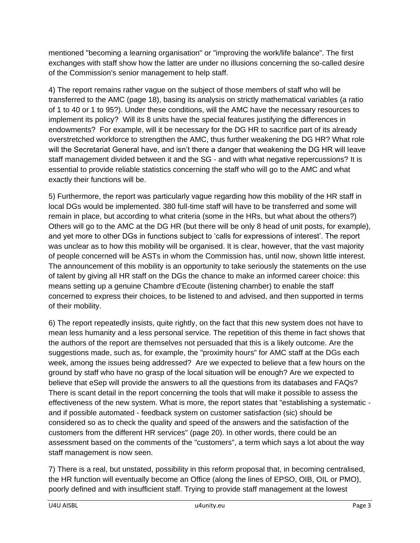mentioned "becoming a learning organisation" or "improving the work/life balance". The first exchanges with staff show how the latter are under no illusions concerning the so-called desire of the Commission's senior management to help staff.

4) The report remains rather vague on the subject of those members of staff who will be transferred to the AMC (page 18), basing its analysis on strictly mathematical variables (a ratio of 1 to 40 or 1 to 95?). Under these conditions, will the AMC have the necessary resources to implement its policy? Will its 8 units have the special features justifying the differences in endowments? For example, will it be necessary for the DG HR to sacrifice part of its already overstretched workforce to strengthen the AMC, thus further weakening the DG HR? What role will the Secretariat General have, and isn't there a danger that weakening the DG HR will leave staff management divided between it and the SG - and with what negative repercussions? It is essential to provide reliable statistics concerning the staff who will go to the AMC and what exactly their functions will be.

5) Furthermore, the report was particularly vague regarding how this mobility of the HR staff in local DGs would be implemented. 380 full-time staff will have to be transferred and some will remain in place, but according to what criteria (some in the HRs, but what about the others?) Others will go to the AMC at the DG HR (but there will be only 8 head of unit posts, for example), and yet more to other DGs in functions subject to 'calls for expressions of interest'. The report was unclear as to how this mobility will be organised. It is clear, however, that the vast majority of people concerned will be ASTs in whom the Commission has, until now, shown little interest. The announcement of this mobility is an opportunity to take seriously the statements on the use of talent by giving all HR staff on the DGs the chance to make an informed career choice: this means setting up a genuine Chambre d'Ecoute (listening chamber) to enable the staff concerned to express their choices, to be listened to and advised, and then supported in terms of their mobility.

6) The report repeatedly insists, quite rightly, on the fact that this new system does not have to mean less humanity and a less personal service. The repetition of this theme in fact shows that the authors of the report are themselves not persuaded that this is a likely outcome. Are the suggestions made, such as, for example, the "proximity hours" for AMC staff at the DGs each week, among the issues being addressed? Are we expected to believe that a few hours on the ground by staff who have no grasp of the local situation will be enough? Are we expected to believe that eSep will provide the answers to all the questions from its databases and FAQs? There is scant detail in the report concerning the tools that will make it possible to assess the effectiveness of the new system. What is more, the report states that "establishing a systematic and if possible automated - feedback system on customer satisfaction (sic) should be considered so as to check the quality and speed of the answers and the satisfaction of the customers from the different HR services" (page 20). In other words, there could be an assessment based on the comments of the "customers", a term which says a lot about the way staff management is now seen.

7) There is a real, but unstated, possibility in this reform proposal that, in becoming centralised, the HR function will eventually become an Office (along the lines of EPSO, OIB, OIL or PMO), poorly defined and with insufficient staff. Trying to provide staff management at the lowest